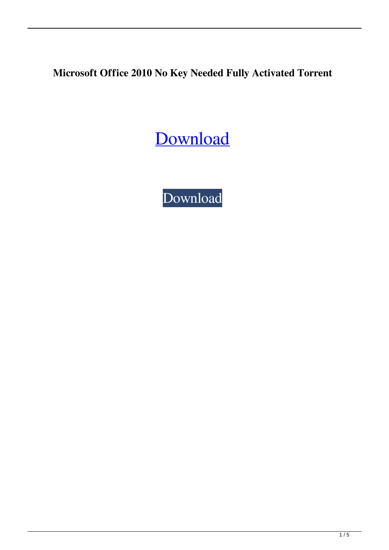**Microsoft Office 2010 No Key Needed Fully Activated Torrent**

[Download](http://evacdir.com/?/carucci/strikeouts/ZG93bmxvYWR8QUQxTW5seWNueDhNVFkxTWpRMk16QTFNSHg4TWpVM05IeDhLRTBwSUhKbFlXUXRZbXh2WnlCYlJtRnpkQ0JIUlU1ZA/TWljcm9zb2Z0IE9mZmljZSAyMDEwIE5vIEtleSBOZWVkZWQgRnVsbHkgQWN0aXZhdGVkIHRvcnJlbnQTWl/patriarchy/chuan/)

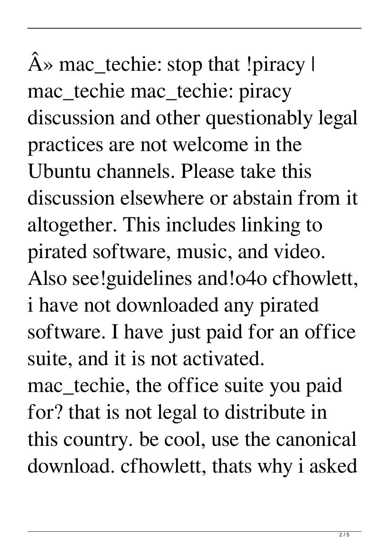$\hat{A}$ » mac\_techie: stop that !piracy l mac\_techie mac\_techie: piracy discussion and other questionably legal practices are not welcome in the Ubuntu channels. Please take this discussion elsewhere or abstain from it altogether. This includes linking to pirated software, music, and video. Also see!guidelines and!o4o cfhowlett, i have not downloaded any pirated software. I have just paid for an office suite, and it is not activated. mac\_techie, the office suite you paid for? that is not legal to distribute in this country. be cool, use the canonical download. cfhowlett, thats why i asked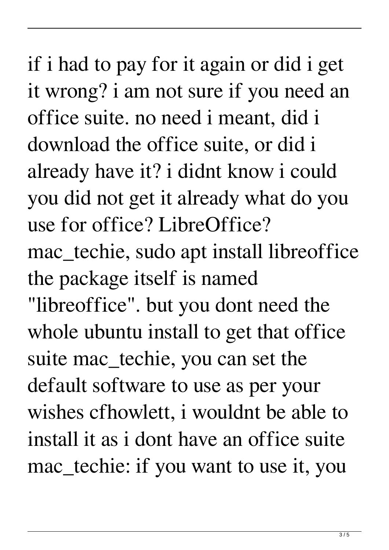if i had to pay for it again or did i get it wrong? i am not sure if you need an office suite. no need i meant, did i download the office suite, or did i already have it? i didnt know i could you did not get it already what do you use for office? LibreOffice? mac\_techie, sudo apt install libreoffice the package itself is named "libreoffice". but you dont need the whole ubuntu install to get that office suite mac\_techie, you can set the default software to use as per your wishes cfhowlett, i wouldnt be able to install it as i dont have an office suite mac\_techie: if you want to use it, you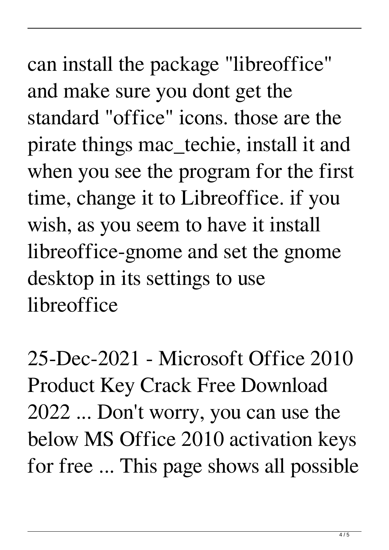can install the package "libreoffice" and make sure you dont get the standard "office" icons. those are the pirate things mac\_techie, install it and when you see the program for the first time, change it to Libreoffice. if you wish, as you seem to have it install libreoffice-gnome and set the gnome desktop in its settings to use libreoffice

25-Dec-2021 - Microsoft Office 2010 Product Key Crack Free Download 2022 ... Don't worry, you can use the below MS Office 2010 activation keys for free ... This page shows all possible